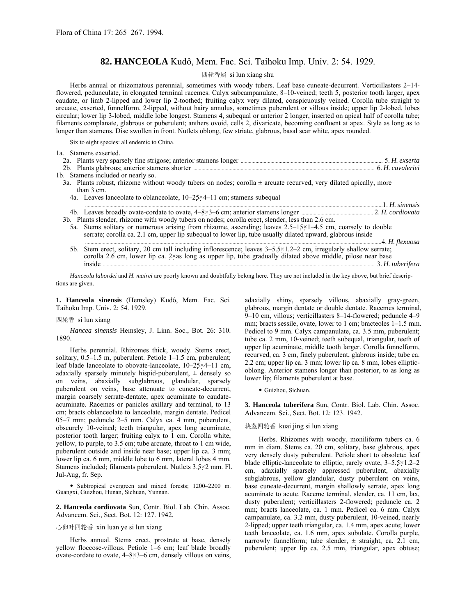# 82. HANCEOLA Kudô, Mem. Fac. Sci. Taihoku Imp. Univ. 2: 54. 1929.

# 四轮香属 si lun xiang shu

Herbs annual or rhizomatous perennial, sometimes with woody tubers. Leaf base cuneate-decurrent. Verticillasters 2-14flowered, pedunculate, in elongated terminal racemes. Calyx subcampanulate, 8–10-veined; teeth 5, posterior tooth larger, apex caudate, or limb 2-lipped and lower lip 2-toothed; fruiting calyx very dilated, conspicuously veined. Corolla tube straight to arcuate, exserted, funnelform, 2-lipped, without hairy annulus, sometimes puberulent or villous inside; upper lip 2-lobed, lobes circular; lower lip 3-lobed, middle lobe longest. Stamens 4, subequal or anterior 2 longer, inserted on apical half of corolla tube; filaments complanate, glabrous or puberulent; anthers ovoid, cells 2, divaricate, becoming confluent at apex. Style as long as to longer than stamens. Disc swollen in front. Nutlets oblong, few striate, glabrous, basal scar white, apex rounded.

Six to eight species: all endemic to China.

| 1a. Stamens exserted.                                                                                                                                                                                                                     |              |
|-------------------------------------------------------------------------------------------------------------------------------------------------------------------------------------------------------------------------------------------|--------------|
|                                                                                                                                                                                                                                           |              |
| 2b. Plants glabrous; anterior stamens shorter manufactured and the content of the cavaleriei                                                                                                                                              |              |
| 1b. Stamens included or nearly so.                                                                                                                                                                                                        |              |
| 3a. Plants robust, rhizome without woody tubers on nodes; corolla $\pm$ arcuate recurved, very dilated apically, more<br>than $3 \text{ cm}$ .                                                                                            |              |
| 4a. Leaves lanceolate to oblanceolate, $10-25\times4-11$ cm; stamens subequal                                                                                                                                                             |              |
|                                                                                                                                                                                                                                           | 1 H sinensis |
| 3b. Plants slender, rhizome with woody tubers on nodes; corolla erect, slender, less than 2.6 cm.                                                                                                                                         |              |
| 5a. Stems solitary or numerous arising from rhizome, ascending; leaves $2.5-15\times1-4.5$ cm, coarsely to double<br>serrate; corolla ca. 2.1 cm, upper lip subequal to lower lip, tube usually dilated upward, glabrous inside           |              |
|                                                                                                                                                                                                                                           |              |
| 5b. Stem erect, solitary, 20 cm tall including inflorescence; leaves 3–5.5×1.2–2 cm, irregularly shallow serrate;<br>corolla 2.6 cm, lower lip ca. $2 \times$ as long as upper lip, tube gradually dilated above middle, pilose near base |              |

*Hanceola labordei* and *H. mairei* are poorly known and doubtfully belong here. They are not included in the key above, but brief descriptions are given.

1. Hanceola sinensis (Hemsley) Kudô, Mem. Fac. Sci. Taihoku Imp. Univ. 2: 54. 1929.

### 四轮香 si lun xiang

*Hancea sinensis* Hemsley, J. Linn. Soc., Bot. 26: 310. 1890.

Herbs perennial. Rhizomes thick, woody. Stems erect, solitary,  $0.5-1.5$  m, puberulent. Petiole  $1-1.5$  cm, puberulent; leaf blade lanceolate to obovate-lanceolate,  $10-25\times4-11$  cm, adaxially sparsely minutely hispid-puberulent,  $\pm$  densely so on veins, abaxially subglabrous, glandular, sparsely puberulent on veins, base attenuate to cuneate-decurrent, margin coarsely serrate-dentate, apex acuminate to caudateacuminate. Racemes or panicles axillary and terminal, to 13 cm; bracts oblanceolate to lanceolate, margin dentate. Pedicel 05 $-7$  mm; peduncle 2 $-5$  mm. Calyx ca. 4 mm, puberulent, obscurely 10-veined; teeth triangular, apex long acuminate, posterior tooth larger; fruiting calyx to  $1$  cm. Corolla white, yellow, to purple, to 3.5 cm; tube arcuate, throat to 1 cm wide, puberulent outside and inside near base; upper lip ca. 3 mm; lower lip ca. 6 mm, middle lobe to 6 mm, lateral lobes 4 mm. Stamens included; filaments puberulent. Nutlets 3.5×2 mm. Fl. Jul-Aug, fr. Sep.

• Subtropical evergreen and mixed forests; 1200-2200 m. Guangxi, Guizhou, Hunan, Sichuan, Yunnan.

**2. Hanceola cordiovata** Sun, Contr. Biol. Lab. Chin. Assoc. Advancem. Sci., Sect. Bot. 12: 127. 1942.

# 心卵叶四轮香 xin luan ye si lun xiang

Herbs annual. Stems erect, prostrate at base, densely yellow floccose-villous. Petiole 1-6 cm; leaf blade broadly ovate-cordate to ovate,  $4-8\times3-6$  cm, densely villous on veins, adaxially shiny, sparsely villous, abaxially gray-green, glabrous, margin dentate or double dentate. Racemes terminal,  $9-10$  cm, villous; verticillasters 8-14-flowered; peduncle 4-9 mm; bracts sessile, ovate, lower to 1 cm; bracteoles  $1-1.5$  mm. Pedicel to 9 mm. Calyx campanulate, ca. 3.5 mm, puberulent; tube ca. 2 mm, 10-veined; teeth subequal, triangular, teeth of upper lip acuminate, middle tooth larger. Corolla funnelform, recurved, ca. 3 cm, finely puberulent, glabrous inside; tube ca. 2.2 cm; upper lip ca. 3 mm; lower lip ca. 8 mm, lobes ellipticoblong. Anterior stamens longer than posterior, to as long as lower lip; filaments puberulent at base.

· Guizhou, Sichuan.

**3. Hanceola tuberifera** Sun, Contr. Biol. Lab. Chin. Assoc. Advancem. Sci., Sect. Bot. 12: 123. 1942.

# 块茎四轮香 kuai jing si lun xiang

Herbs. Rhizomes with woody, moniliform tubers ca. 6 mm in diam. Stems ca. 20 cm, solitary, base glabrous, apex very densely dusty puberulent. Petiole short to obsolete; leaf blade elliptic-lanceolate to elliptic, rarely ovate,  $3-5.5\times1.2-2$ cm, adaxially sparsely appressed puberulent, abaxially subglabrous, yellow glandular, dusty puberulent on veins, base cuneate-decurrent, margin shallowly serrate, apex long acuminate to acute. Raceme terminal, slender, ca. 11 cm, lax, dusty puberulent; verticillasters 2-flowered; peduncle ca. 2 mm; bracts lanceolate, ca. 1 mm. Pedicel ca. 6 mm. Calyx campanulate, ca. 3.2 mm, dusty puberulent, 10-veined, nearly 2-lipped; upper teeth triangular, ca. 1.4 mm, apex acute; lower teeth lanceolate, ca. 1.6 mm, apex subulate. Corolla purple, narrowly funnelform; tube slender,  $\pm$  straight, ca. 2.1 cm, puberulent; upper lip ca. 2.5 mm, triangular, apex obtuse;